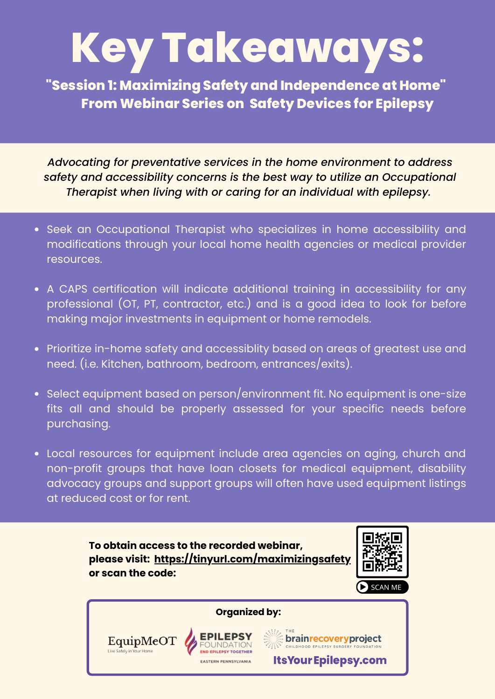## **Key Takeaways:**

**"Session 1: Maximizing Safety and Independence at Home" From Webinar Series on Safety Devices for Epilepsy**

*Advocating for preventative services in the home environment to address safety and accessibility concerns is the best way to utilize an Occupational Therapist when living with or caring for an individual with epilepsy.*

- Seek an Occupational Therapist who specializes in home accessibility and modifications through your local home health agencies or medical provider resources.
- A CAPS certification will indicate additional training in accessibility for any professional (OT, PT, contractor, etc.) and is a good idea to look for before making major investments in equipment or home remodels.
- Prioritize in-home safety and accessiblity based on areas of greatest use and need. (i.e. Kitchen, bathroom, bedroom, entrances/exits).
- Select equipment based on person/environment fit. No equipment is one-size fits all and should be properly assessed for your specific needs before purchasing.
- Local resources for equipment include area agencies on aging, church and non-profit groups that have loan closets for medical equipment, disability advocacy groups and support groups will often have used equipment listings at reduced cost or for rent.